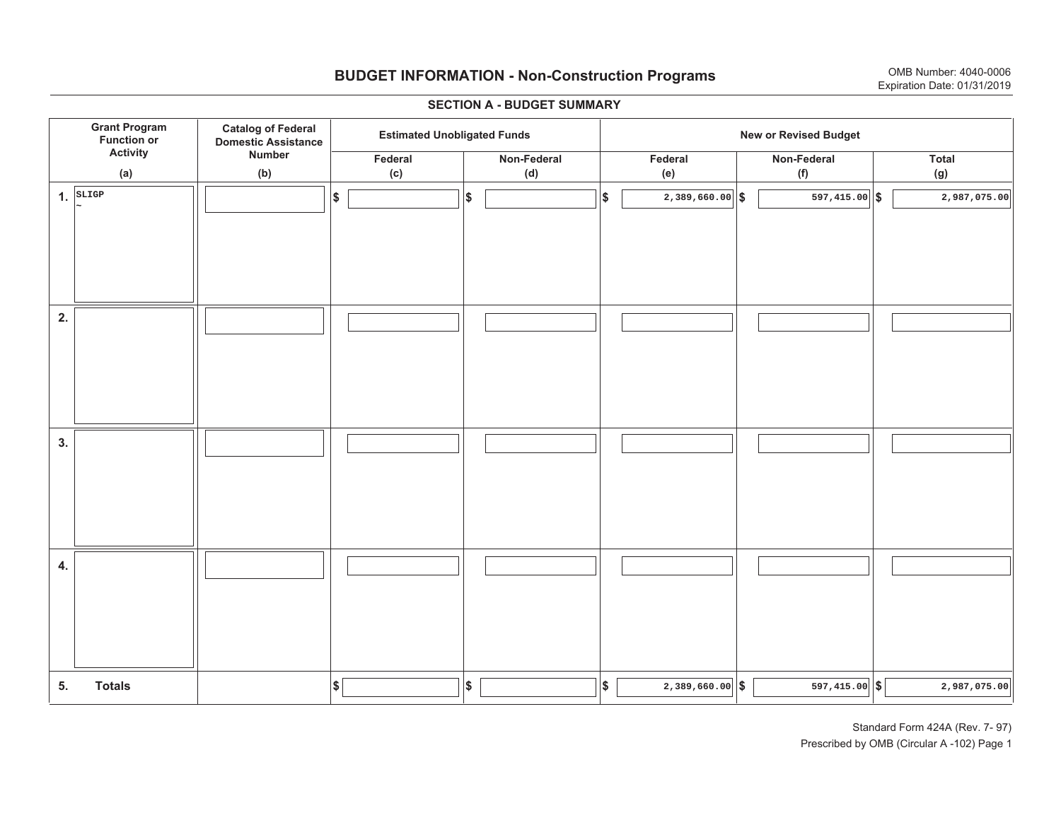## **BUDGET INFORMATION - Non-Construction Programs** OMB Number: 4040-0006 **Expiration Date: 01/31/2019**

**\$ Grant Program Function or Activity (a) Catalog of Federal Domestic Assistance Number (b) Estimated Unobligated Funds**<br> **1 Intervalse Set 20** *New or Revised Budget* **Federal(c) Non-Federal(d) Federal(e) Non-Federal (f) Total (g) 5. Totals4. 3. 2. 1.SLIGP \$\$\$\$ \$ \$ \$ \$ \$ 2,389,660.00 597,415.00 2,987,075.00 ~2,389,660.00 597,415.00 2,987,075.00**

#### **SECTION A - BUDGET SUMMARY**

Standard Form 424A (Rev. 7- 97) Prescribed by OMB (Circular A -102) Page 1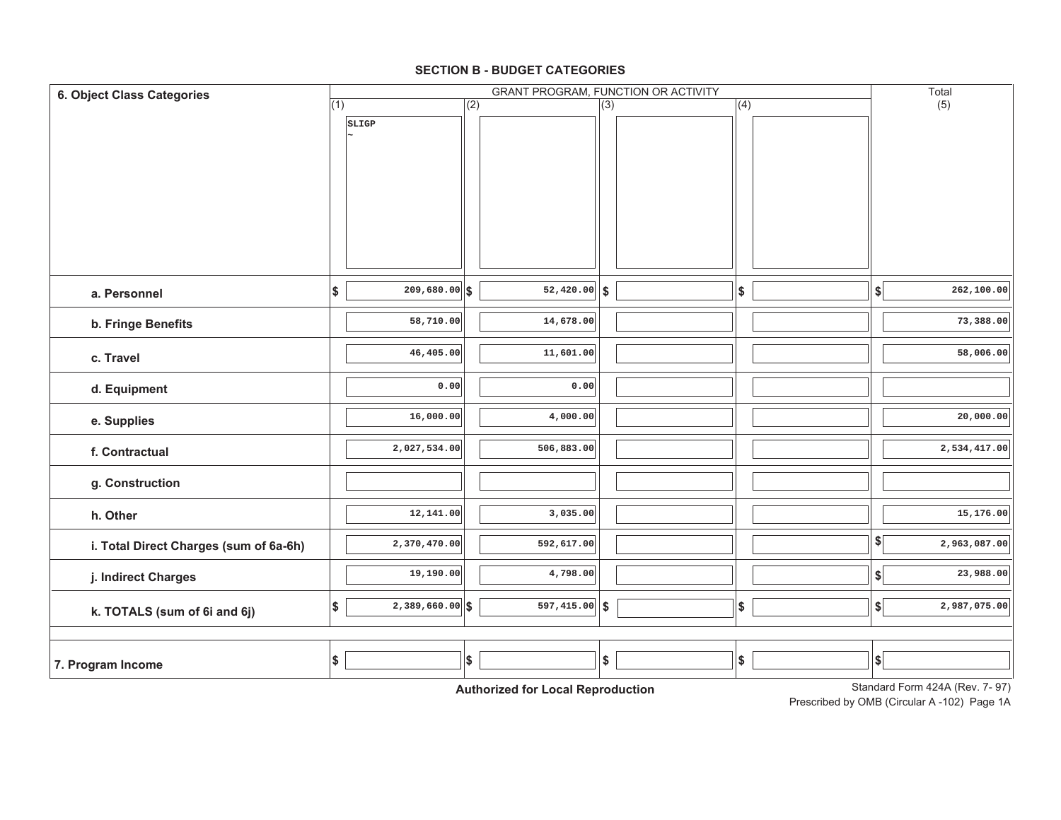#### **SECTION B - BUDGET CATEGORIES**

| 6. Object Class Categories             | <b>GRANT PROGRAM, FUNCTION OR ACTIVITY</b> |                            |     |                                                  |                  |  |            | Total                        |                                 |
|----------------------------------------|--------------------------------------------|----------------------------|-----|--------------------------------------------------|------------------|--|------------|------------------------------|---------------------------------|
|                                        | (1)                                        |                            | (2) |                                                  | $\overline{(3)}$ |  | (4)        |                              | (5)                             |
|                                        |                                            | SLIGP                      |     |                                                  |                  |  |            |                              |                                 |
|                                        |                                            |                            |     |                                                  |                  |  |            |                              |                                 |
|                                        |                                            |                            |     |                                                  |                  |  |            |                              |                                 |
|                                        |                                            |                            |     |                                                  |                  |  |            |                              |                                 |
|                                        |                                            |                            |     |                                                  |                  |  |            |                              |                                 |
|                                        |                                            |                            |     |                                                  |                  |  |            |                              |                                 |
|                                        |                                            |                            |     |                                                  |                  |  |            |                              |                                 |
|                                        |                                            |                            |     |                                                  |                  |  |            |                              |                                 |
|                                        |                                            |                            |     |                                                  |                  |  |            |                              |                                 |
| a. Personnel                           | \$                                         | $\overline{209,680.00}$ \$ |     | $\overline{52,420.00}$ \$                        |                  |  | \$         | $\left  \frac{1}{2} \right $ | 262,100.00                      |
| b. Fringe Benefits                     |                                            | 58,710.00                  |     | 14,678.00                                        |                  |  |            |                              | 73,388.00                       |
|                                        |                                            |                            |     |                                                  |                  |  |            |                              |                                 |
| c. Travel                              |                                            | 46,405.00                  |     | 11,601.00                                        |                  |  |            |                              | 58,006.00                       |
|                                        |                                            | 0.00                       |     | 0.00                                             |                  |  |            |                              |                                 |
| d. Equipment                           |                                            |                            |     |                                                  |                  |  |            |                              |                                 |
| e. Supplies                            |                                            | 16,000.00                  |     | 4,000.00                                         |                  |  |            |                              | 20,000.00                       |
| f. Contractual                         |                                            | 2,027,534.00               |     | 506,883.00                                       |                  |  |            |                              | 2,534,417.00                    |
|                                        |                                            |                            |     |                                                  |                  |  |            |                              |                                 |
| g. Construction                        |                                            |                            |     |                                                  |                  |  |            |                              |                                 |
| h. Other                               |                                            | 12,141.00                  |     | 3,035.00                                         |                  |  |            |                              | 15,176.00                       |
|                                        |                                            |                            |     |                                                  |                  |  |            |                              |                                 |
| i. Total Direct Charges (sum of 6a-6h) |                                            | 2,370,470.00               |     | 592,617.00                                       |                  |  |            | $\left  \frac{1}{2} \right $ | 2,963,087.00                    |
| j. Indirect Charges                    |                                            | 19,190.00                  |     | 4,798.00                                         |                  |  |            | $\left  \frac{1}{2} \right $ | 23,988.00                       |
|                                        |                                            | $2,389,660.00$ \$          |     | $597, 415.00$ \$                                 |                  |  |            |                              | 2,987,075.00                    |
| k. TOTALS (sum of 6i and 6j)           | \$                                         |                            |     |                                                  |                  |  | \$         | \$                           |                                 |
|                                        |                                            |                            |     |                                                  |                  |  |            |                              |                                 |
| 7. Program Income                      | \$                                         |                            | \$  |                                                  | \$               |  | $\pmb{\$}$ | $ \$$                        |                                 |
|                                        |                                            |                            |     | Antibodina di Capiti a politica populazioni all' |                  |  |            |                              | Standard Form 424A (Rev. 7, 97) |

**Authorized for Local Reproduction**

Standard Form 424A (Rev. 7- 97)

Prescribed by OMB (Circular A -102) Page 1A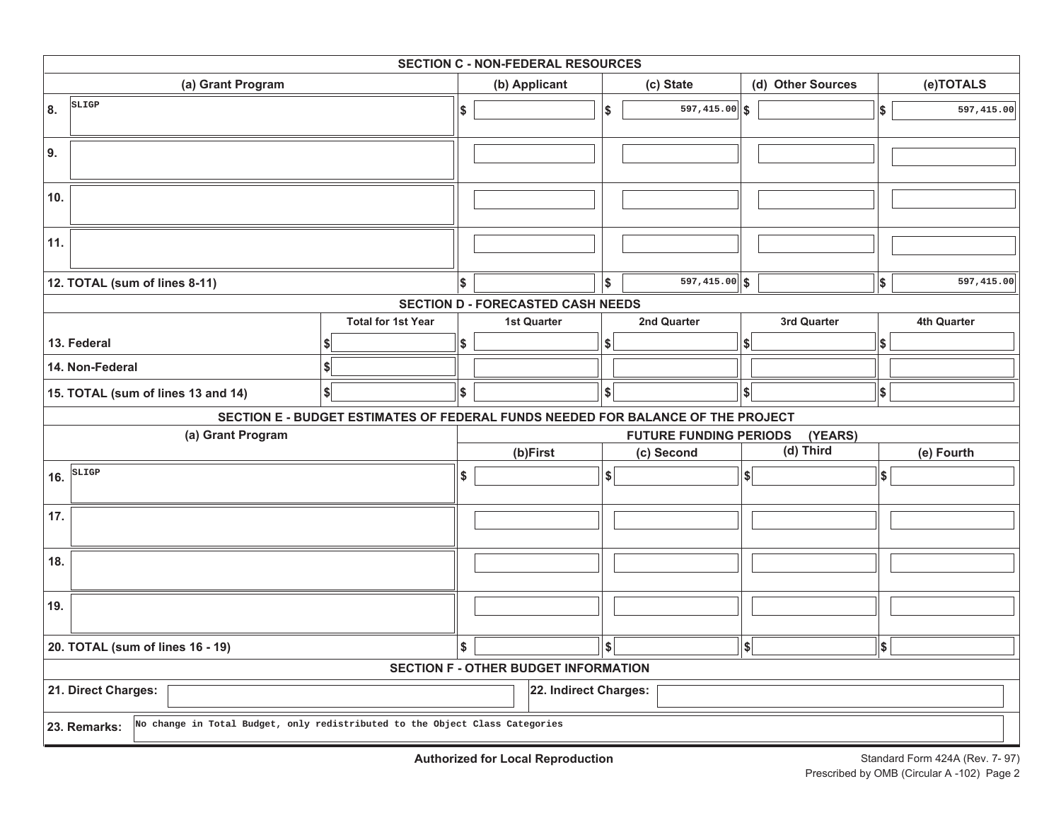| <b>SECTION C - NON-FEDERAL RESOURCES</b>                                                     |                                                                                 |    |                                          |            |                               |                   |             |           |             |
|----------------------------------------------------------------------------------------------|---------------------------------------------------------------------------------|----|------------------------------------------|------------|-------------------------------|-------------------|-------------|-----------|-------------|
| (a) Grant Program                                                                            |                                                                                 |    | (b) Applicant                            | (c) State  |                               | (d) Other Sources |             | (e)TOTALS |             |
| SLIGP<br>8.                                                                                  |                                                                                 | \$ |                                          | l\$        | 597,415.00                    | ∣\$               |             | \$        | 597,415.00  |
| 9.                                                                                           |                                                                                 |    |                                          |            |                               |                   |             |           |             |
| 10.                                                                                          |                                                                                 |    |                                          |            |                               |                   |             |           |             |
| 11.                                                                                          |                                                                                 |    |                                          |            |                               |                   |             |           |             |
| 12. TOTAL (sum of lines 8-11)                                                                |                                                                                 | \$ |                                          | l\$        | $597, 415.00$ \$              |                   |             | \$        | 597,415.00  |
|                                                                                              |                                                                                 |    | <b>SECTION D - FORECASTED CASH NEEDS</b> |            |                               |                   |             |           |             |
|                                                                                              | <b>Total for 1st Year</b>                                                       |    | <b>1st Quarter</b>                       |            | 2nd Quarter                   |                   | 3rd Quarter |           | 4th Quarter |
| 13. Federal                                                                                  |                                                                                 | \$ |                                          | \$         |                               | \$                |             | \$        |             |
| 14. Non-Federal                                                                              | \$                                                                              |    |                                          |            |                               |                   |             |           |             |
| 15. TOTAL (sum of lines 13 and 14)                                                           | \$                                                                              | \$ |                                          | \$         |                               | \$                |             | \$        |             |
|                                                                                              | SECTION E - BUDGET ESTIMATES OF FEDERAL FUNDS NEEDED FOR BALANCE OF THE PROJECT |    |                                          |            |                               |                   |             |           |             |
| (a) Grant Program                                                                            |                                                                                 |    |                                          |            | <b>FUTURE FUNDING PERIODS</b> |                   | (YEARS)     |           |             |
|                                                                                              |                                                                                 |    | (b)First<br>(c) Second                   |            |                               |                   | (d) Third   |           | (e) Fourth  |
| SLIGP<br>16.                                                                                 |                                                                                 | \$ |                                          | \$         |                               | \$                |             | ∣\$∣      |             |
| 17.                                                                                          |                                                                                 |    |                                          |            |                               |                   |             |           |             |
| 18.                                                                                          |                                                                                 |    |                                          |            |                               |                   |             |           |             |
| 19.                                                                                          |                                                                                 |    |                                          |            |                               |                   |             |           |             |
| 20. TOTAL (sum of lines 16 - 19)                                                             |                                                                                 |    |                                          | $\sqrt{2}$ |                               | \$                |             | \$        |             |
|                                                                                              | <b>SECTION F - OTHER BUDGET INFORMATION</b>                                     |    |                                          |            |                               |                   |             |           |             |
| 21. Direct Charges:<br>22. Indirect Charges:                                                 |                                                                                 |    |                                          |            |                               |                   |             |           |             |
| No change in Total Budget, only redistributed to the Object Class Categories<br>23. Remarks: |                                                                                 |    |                                          |            |                               |                   |             |           |             |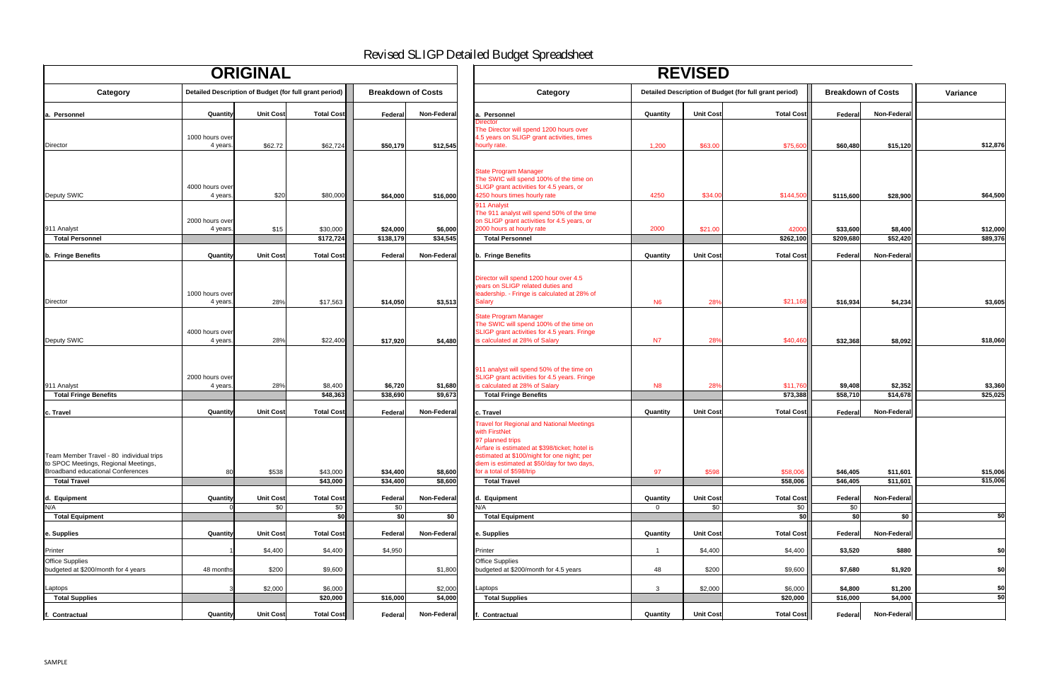|                                                                                                                                                                                                                                                                    |                | <b>REVISED</b>   |                                                        |                           |                    |                 |
|--------------------------------------------------------------------------------------------------------------------------------------------------------------------------------------------------------------------------------------------------------------------|----------------|------------------|--------------------------------------------------------|---------------------------|--------------------|-----------------|
| Category                                                                                                                                                                                                                                                           |                |                  | Detailed Description of Budget (for full grant period) | <b>Breakdown of Costs</b> |                    | <b>Variance</b> |
| a. Personnel                                                                                                                                                                                                                                                       | Quantity       | <b>Unit Cost</b> | <b>Total Cost</b>                                      | Federal                   | <b>Non-Federal</b> |                 |
| <b>Director</b><br>The Director will spend 1200 hours over<br>4.5 years on SLIGP grant activities, times<br>hourly rate.                                                                                                                                           | 1,200          | \$63.00          | \$75,600                                               | \$60,480                  | \$15,120           | \$12,876        |
| <b>State Program Manager</b><br>The SWIC will spend 100% of the time on<br>SLIGP grant activities for 4.5 years, or                                                                                                                                                |                |                  |                                                        |                           |                    |                 |
| 4250 hours times hourly rate                                                                                                                                                                                                                                       | 4250           | \$34.00          | \$144,500                                              | \$115,600                 | \$28,900           | \$64,500        |
| 911 Analyst<br>The 911 analyst will spend 50% of the time<br>on SLIGP grant activities for 4.5 years, or<br>2000 hours at hourly rate                                                                                                                              | 2000           | \$21.00          | 42000                                                  | \$33,600                  | \$8,400            | \$12,000        |
| <b>Total Personnel</b>                                                                                                                                                                                                                                             |                |                  | \$262,100                                              | \$209,680                 | \$52,420           | \$89,376        |
| b. Fringe Benefits                                                                                                                                                                                                                                                 | Quantity       | Unit Cost        | <b>Total Cost</b>                                      | <b>Federal</b>            | <b>Non-Federal</b> |                 |
| Director will spend 1200 hour over 4.5<br>years on SLIGP related duties and<br>leadership. - Fringe is calculated at 28% of<br><b>Salary</b>                                                                                                                       | N <sub>6</sub> |                  | \$21,168                                               |                           |                    | \$3,605         |
|                                                                                                                                                                                                                                                                    |                | 28%              |                                                        | \$16,934                  | \$4,234            |                 |
| <b>State Program Manager</b><br>The SWIC will spend 100% of the time on<br>SLIGP grant activities for 4.5 years. Fringe<br>is calculated at 28% of Salary                                                                                                          | N <sub>7</sub> | 28%              | \$40,460                                               | \$32,368                  | \$8,092            | \$18,060        |
| 911 analyst will spend 50% of the time on<br>SLIGP grant activities for 4.5 years. Fringe<br>is calculated at 28% of Salary                                                                                                                                        | N <sub>8</sub> | 28%              | \$11,760                                               | \$9,408                   | \$2,352            | \$3,360         |
| <b>Total Fringe Benefits</b>                                                                                                                                                                                                                                       |                |                  | \$73,388                                               | \$58,710                  | \$14,678           | \$25,025        |
| c. Travel                                                                                                                                                                                                                                                          | Quantity       | <b>Unit Cost</b> | <b>Total Cost</b>                                      | Federal                   | Non-Federal        |                 |
| <b>Travel for Regional and National Meetings</b><br>with FirstNet<br>97 planned trips<br>Airfare is estimated at \$398/ticket; hotel is<br>estimated at \$100/night for one night; per<br>diem is estimated at \$50/day for two days,<br>for a total of \$598/trip | 97             | \$598            | \$58,006                                               | \$46,405                  | \$11,601           | \$15,006        |
| <b>Total Travel</b>                                                                                                                                                                                                                                                |                |                  | \$58,006                                               | \$46,405                  | \$11,601           | \$15,006        |
| d. Equipment                                                                                                                                                                                                                                                       | Quantity       | <b>Unit Cost</b> | <b>Total Cost</b>                                      | Federal                   | <b>Non-Federal</b> |                 |
| N/A                                                                                                                                                                                                                                                                | 0              | \$0              | \$0                                                    | \$0                       |                    |                 |
| <b>Total Equipment</b>                                                                                                                                                                                                                                             |                |                  | \$0                                                    | \$0                       | \$0                | \$0             |
| e. Supplies                                                                                                                                                                                                                                                        | Quantity       | Unit Cost        | <b>Total Cost</b>                                      | Federal                   | <b>Non-Federal</b> |                 |
| Printer                                                                                                                                                                                                                                                            |                | \$4,400          | \$4,400                                                | \$3,520                   | \$880              | \$0             |
| <b>Office Supplies</b><br>budgeted at \$200/month for 4.5 years                                                                                                                                                                                                    | 48             | \$200            | \$9,600                                                | \$7,680                   | \$1,920            | \$0             |
|                                                                                                                                                                                                                                                                    |                |                  |                                                        |                           |                    |                 |
| Laptops<br><b>Total Supplies</b>                                                                                                                                                                                                                                   | 3              | \$2,000          | \$6,000<br>\$20,000                                    | \$4,800<br>\$16,000       | \$1,200<br>\$4,000 | \$0<br>\$0      |
|                                                                                                                                                                                                                                                                    |                |                  |                                                        |                           |                    |                 |
| f. Contractual                                                                                                                                                                                                                                                     | Quantity       | Unit Cost        | <b>Total Cost</b>                                      | Federal                   | <b>Non-Federal</b> |                 |

| <b>ORIGINAL</b>                                                                  |                             |                  |                                                        |                           | <b>REVISED</b>     |                                                                                                                                                                                                                                       |                |                  |                                                        |                           |                      |                      |
|----------------------------------------------------------------------------------|-----------------------------|------------------|--------------------------------------------------------|---------------------------|--------------------|---------------------------------------------------------------------------------------------------------------------------------------------------------------------------------------------------------------------------------------|----------------|------------------|--------------------------------------------------------|---------------------------|----------------------|----------------------|
| <b>Category</b>                                                                  |                             |                  | Detailed Description of Budget (for full grant period) | <b>Breakdown of Costs</b> |                    | <b>Category</b>                                                                                                                                                                                                                       |                |                  | Detailed Description of Budget (for full grant period) | <b>Breakdown of Costs</b> |                      | Variance             |
| a. Personnel                                                                     | Quantity                    | <b>Unit Cost</b> | <b>Total Cost</b>                                      | Federal                   | <b>Non-Federal</b> | a. Personnel                                                                                                                                                                                                                          | Quantity       | <b>Unit Cost</b> | <b>Total Cost</b>                                      | Federal                   | Non-Federal          |                      |
| Director                                                                         | 1000 hours over<br>4 years. | \$62.72          | \$62,724                                               | \$50,179                  | \$12,545           | <b>Inector</b><br>The Director will spend 1200 hours over<br>4.5 years on SLIGP grant activities, times<br>hourly rate.                                                                                                               | 1,200          | \$63.00          | \$75,600                                               | \$60,480                  | \$15,120             | \$12,876             |
|                                                                                  | 4000 hours over             |                  |                                                        |                           |                    | <b>State Program Manager</b><br>The SWIC will spend 100% of the time on<br>SLIGP grant activities for 4.5 years, or                                                                                                                   |                |                  |                                                        |                           |                      |                      |
| Deputy SWIC                                                                      | 4 years.<br>2000 hours over | \$20             | \$80,000                                               | \$64,000                  | \$16,000           | 4250 hours times hourly rate<br>911 Analyst<br>The 911 analyst will spend 50% of the time<br>on SLIGP grant activities for 4.5 years, or                                                                                              | 4250           | \$34.00          | \$144,500                                              | \$115,600                 | \$28,900             | \$64,500             |
| 911 Analyst                                                                      | 4 years.                    | \$15             | \$30,000                                               | \$24,000                  | \$6,000            | 2000 hours at hourly rate                                                                                                                                                                                                             | 2000           | \$21.00          | 42000                                                  | \$33,600                  | \$8,400              | \$12,000<br>\$89,376 |
| <b>Total Personnel</b>                                                           |                             |                  | \$172,724                                              | \$138,179                 | \$34,545           | <b>Total Personnel</b>                                                                                                                                                                                                                |                |                  | \$262,100                                              | \$209,680                 | \$52,420             |                      |
| b. Fringe Benefits                                                               | Quantity                    | <b>Unit Cost</b> | <b>Total Cost</b>                                      | Federal                   | Non-Federal        | b. Fringe Benefits                                                                                                                                                                                                                    | Quantity       | <b>Unit Cost</b> | <b>Total Cost</b>                                      | Federal                   | Non-Federal          |                      |
| Director                                                                         | 1000 hours over<br>4 years. | 28%              | \$17,563                                               | \$14,050                  | \$3,513            | Director will spend 1200 hour over 4.5<br>years on SLIGP related duties and<br>leadership. - Fringe is calculated at 28% of<br><b>Salary</b>                                                                                          | <b>N6</b>      | 28%              | \$21,168                                               | \$16,934                  | \$4,234              | \$3,605              |
|                                                                                  | 4000 hours over             |                  |                                                        |                           |                    | <b>State Program Manager</b><br>The SWIC will spend 100% of the time on<br>SLIGP grant activities for 4.5 years. Fringe                                                                                                               |                |                  |                                                        |                           |                      |                      |
| Deputy SWIC                                                                      | 4 years.                    | 28%              | \$22,400                                               | \$17,920                  | \$4,480            | is calculated at 28% of Salary                                                                                                                                                                                                        | <b>N7</b>      | 28%              | \$40,460                                               | \$32,368                  | \$8,092              | \$18,060             |
|                                                                                  | 2000 hours over             |                  |                                                        |                           |                    | 911 analyst will spend 50% of the time on<br>SLIGP grant activities for 4.5 years. Fringe                                                                                                                                             |                |                  |                                                        |                           |                      |                      |
| 911 Analyst                                                                      | 4 years.                    | 28%              | \$8,400                                                | \$6,720                   | \$1,680            | is calculated at 28% of Salary                                                                                                                                                                                                        | <b>N8</b>      | 28%              | \$11,760                                               | \$9,408                   | \$2,352              | \$3,360              |
| <b>Total Fringe Benefits</b>                                                     |                             |                  | \$48,363                                               | \$38,690                  | \$9,673            | <b>Total Fringe Benefits</b>                                                                                                                                                                                                          |                |                  | \$73,388                                               | \$58,710                  | \$14,678             | \$25,025             |
| c. Travel                                                                        | Quantity                    | <b>Unit Cost</b> | <b>Total Cost</b>                                      | Federa                    | <b>Non-Federal</b> | c. Travel                                                                                                                                                                                                                             | Quantity       | <b>Unit Cost</b> | <b>Total Cost</b>                                      | Federal                   | Non-Federal          |                      |
| Team Member Travel - 80 individual trips<br>to SPOC Meetings, Regional Meetings, |                             |                  |                                                        |                           |                    | <b>Travel for Regional and National Meetings</b><br>with FirstNet<br>97 planned trips<br>Airfare is estimated at \$398/ticket; hotel is<br>estimated at \$100/night for one night; per<br>diem is estimated at \$50/day for two days, |                |                  |                                                        |                           |                      |                      |
| Broadband educational Conferences<br><b>Total Travel</b>                         | 80                          | \$538            | \$43,000<br>\$43,000                                   | \$34,400<br>\$34,400      | \$8,600<br>\$8,600 | for a total of \$598/trip<br><b>Total Travel</b>                                                                                                                                                                                      | 97             | \$598            | \$58,006<br>\$58,006                                   | \$46,405<br>\$46,405      | \$11,601<br>\$11,601 | \$15,006<br>\$15,006 |
| d. Equipment                                                                     | Quantity                    | <b>Unit Cost</b> | <b>Total Cost</b>                                      | Federal                   | <b>Non-Federal</b> | d. Equipment                                                                                                                                                                                                                          | Quantity       | <b>Unit Cost</b> | <b>Total Cost</b>                                      | Federal                   | <b>Non-Federal</b>   |                      |
| N/A                                                                              |                             | \$0              | \$0                                                    | \$0                       |                    | N/A                                                                                                                                                                                                                                   | $\overline{0}$ | \$0              | \$0                                                    | \$0                       |                      |                      |
| <b>Total Equipment</b>                                                           |                             |                  | \$0                                                    | \$0                       | \$0                | <b>Total Equipment</b>                                                                                                                                                                                                                |                |                  | \$0                                                    | \$0                       | \$0                  | $\overline{60}$      |
| e. Supplies                                                                      | Quantity                    | <b>Unit Cost</b> | <b>Total Cost</b>                                      | Federa                    | Non-Federal        | e. Supplies                                                                                                                                                                                                                           | Quantity       | <b>Unit Cost</b> | <b>Total Cost</b>                                      | Federal                   | <b>Non-Federal</b>   |                      |
| Printer                                                                          |                             | \$4,400          | \$4,400                                                | \$4,950                   |                    | Printer                                                                                                                                                                                                                               |                | \$4,400          | \$4,400                                                | \$3,520                   | \$880                | \$0                  |
| <b>Office Supplies</b><br>budgeted at \$200/month for 4 years                    | 48 months                   | \$200            | \$9,600                                                |                           | \$1,800            | <b>Office Supplies</b><br>budgeted at \$200/month for 4.5 years                                                                                                                                                                       | 48             | \$200            | \$9,600                                                | \$7,680                   | \$1,920              | \$0                  |
| Laptops                                                                          |                             | \$2,000          | \$6,000                                                |                           | \$2,000            | Laptops                                                                                                                                                                                                                               |                | \$2,000          | \$6,000                                                | \$4,800                   | \$1,200              | \$0                  |
| <b>Total Supplies</b>                                                            |                             |                  | \$20,000                                               | \$16,000                  | \$4,000            | <b>Total Supplies</b>                                                                                                                                                                                                                 |                |                  | \$20,000                                               | \$16,000                  | \$4,000              | $\overline{\$0}$     |
| <b>Contractual</b>                                                               | <b>Quantity</b>             | <b>Unit Cost</b> | <b>Total Cost</b>                                      | Federal                   | <b>Non-Federal</b> | <b>Contractual</b>                                                                                                                                                                                                                    | Quantity       | <b>Unit Cost</b> | <b>Total Cost</b>                                      | Federal                   | Non-Federal          |                      |

## Revised SLIGP Detailed Budget Spreadsheet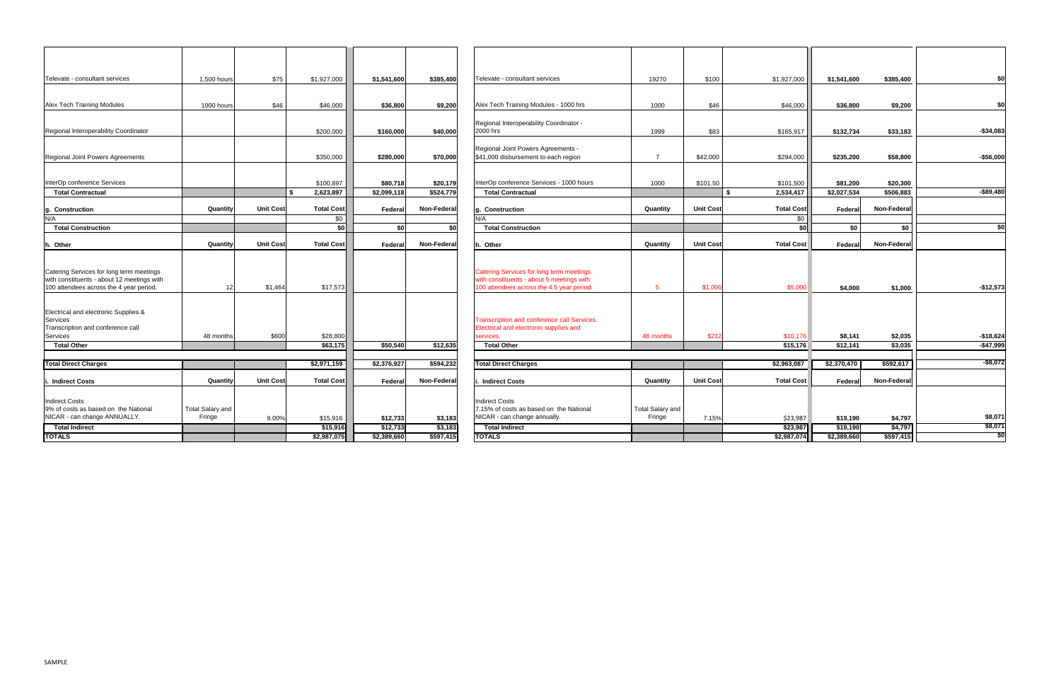| Televate - consultant services                                                                                                    | 1,500 hours             | \$75             | \$1,927,000       | \$1,541,600 | \$385,400          | Televate - consultant services                                                                                                            | 19270            | \$100            | \$1,927,000       | \$1,541,600 | \$385,400          | \$0            |
|-----------------------------------------------------------------------------------------------------------------------------------|-------------------------|------------------|-------------------|-------------|--------------------|-------------------------------------------------------------------------------------------------------------------------------------------|------------------|------------------|-------------------|-------------|--------------------|----------------|
|                                                                                                                                   |                         |                  |                   |             |                    |                                                                                                                                           |                  |                  |                   |             |                    |                |
| <b>Alex Tech Training Modules</b>                                                                                                 | 1000 hours              | \$46             | \$46,000          | \$36,800    | \$9,200            | Alex Tech Training Modules - 1000 hrs                                                                                                     | 1000             | \$46             | \$46,000          | \$36,800    | \$9,200            | \$0            |
| Regional Interoperability Coordinator                                                                                             |                         |                  | \$200,000         | \$160,000   | \$40,000           | Regional Interoperability Coordinator -<br>2000 hrs                                                                                       | 1999             | \$83             | \$165,917         | \$132,734   | \$33,183           | $-$ \$34,083   |
|                                                                                                                                   |                         |                  |                   |             |                    |                                                                                                                                           |                  |                  |                   |             |                    |                |
| Regional Joint Powers Agreements                                                                                                  |                         |                  | \$350,000         | \$280,000   | \$70,000           | Regional Joint Powers Agreements -<br>\$41,000 disbursement to each region                                                                |                  | \$42,000         | \$294,000         | \$235,200   | \$58,800           | $-$ \$56,000   |
|                                                                                                                                   |                         |                  |                   |             |                    |                                                                                                                                           |                  |                  |                   |             |                    |                |
| InterOp conference Services                                                                                                       |                         |                  | \$100,897         | \$80,718    | \$20,179           | InterOp conference Services - 1000 hours                                                                                                  | 1000             | \$101.50         | \$101,500         | \$81,200    | \$20,300           |                |
| <b>Total Contractual</b>                                                                                                          |                         |                  | 2,623,897         | \$2,099,118 | \$524,779          | <b>Total Contractual</b>                                                                                                                  |                  |                  | 2,534,417         | \$2,027,534 | \$506,883          | $-$ \$89,480   |
| g. Construction                                                                                                                   | Quantity                | <b>Unit Cost</b> | <b>Total Cost</b> | Federal     | <b>Non-Federal</b> | <b>Construction</b>                                                                                                                       | Quantity         | <b>Unit Cost</b> | <b>Total Cost</b> | Federal     | Non-Federal        |                |
| N/A                                                                                                                               |                         |                  | \$0               |             |                    | N/A                                                                                                                                       |                  |                  | \$0               |             |                    |                |
| <b>Total Construction</b>                                                                                                         |                         |                  | \$0               | -\$0 l      | \$0                | <b>Total Construction</b>                                                                                                                 |                  |                  | \$0               | \$0         | \$0                | \$0            |
| h. Other                                                                                                                          | Quantity                | <b>Unit Cost</b> | <b>Total Cost</b> | Federal     | <b>Non-Federal</b> | . Other                                                                                                                                   | Quantity         | <b>Unit Cost</b> | <b>Total Cost</b> | Federal     | <b>Non-Federal</b> |                |
| Catering Services for long term meetings<br>with constituents - about 12 meetings with<br>100 attendees across the 4 year period. | 12                      | \$1,464          | \$17,573          |             |                    | <b>Catering Services for long term meetings</b><br>with constituents - about 5 meetings with<br>100 attendees across the 4.5 year period. | $5\phantom{.0}$  | \$1,000          | \$5,000           | \$4,000     | \$1,000            | $-$12,573$     |
| Electrical and electronic Supplies &<br>Services<br>Transcription and conference call                                             |                         |                  |                   |             |                    | Transcription and conference call Services.<br>Electrical and electronic supplies and                                                     |                  |                  |                   |             |                    |                |
| Services                                                                                                                          | 48 months               | \$600            | \$28,800          |             |                    | services.                                                                                                                                 | 48 months        | \$212            | \$10,176          | \$8,141     | \$2,035            | $-$ \$18,624   |
| <b>Total Other</b>                                                                                                                |                         |                  | \$63,175          | \$50,540    | \$12,635           | <b>Total Other</b>                                                                                                                        |                  |                  | \$15,176          | \$12,141    | \$3,035            | $-$ \$47,999   |
| <b>Total Direct Charges</b>                                                                                                       |                         |                  | \$2,971,159       | \$2,376,927 | \$594,232          | <b>Total Direct Charges</b>                                                                                                               |                  |                  | \$2,963,087       | \$2,370,470 | \$592,617          | $-$ \$8,072    |
|                                                                                                                                   |                         |                  |                   |             |                    |                                                                                                                                           |                  |                  |                   |             |                    |                |
| i. Indirect Costs                                                                                                                 | Quantity                | Unit Cost        | <b>Total Cost</b> | Federal     | <b>Non-Federal</b> | <b>Indirect Costs</b>                                                                                                                     | Quantity         | <b>Unit Cost</b> | <b>Total Cost</b> | Federal     | <b>Non-Federal</b> |                |
| Indirect Costs<br>9% of costs as based on the National                                                                            | <b>Total Salary and</b> |                  |                   |             |                    | <b>Indirect Costs</b><br>7.15% of costs as based on the National                                                                          | Total Salary and |                  |                   |             |                    |                |
| NICAR - can change ANNUALLY.                                                                                                      | Fringe                  | 9.00%            | \$15,916          | \$12,733    | \$3,183            | NICAR - can change annually.                                                                                                              | Fringe           | 7.15%            | \$23,987          | \$19,190    | \$4,797            | \$8,071        |
| <b>Total Indirect</b>                                                                                                             |                         |                  | \$15,916          | \$12,733    | \$3,183            | <b>Total Indirect</b>                                                                                                                     |                  |                  | \$23,987          | \$19,190    | \$4,797            | \$8,071<br>\$0 |
| <b>TOTALS</b>                                                                                                                     |                         |                  | \$2,987,075       | \$2,389,660 | \$597,415          | <b>TOTALS</b>                                                                                                                             |                  |                  | \$2,987,074       | \$2,389,660 | \$597,415          |                |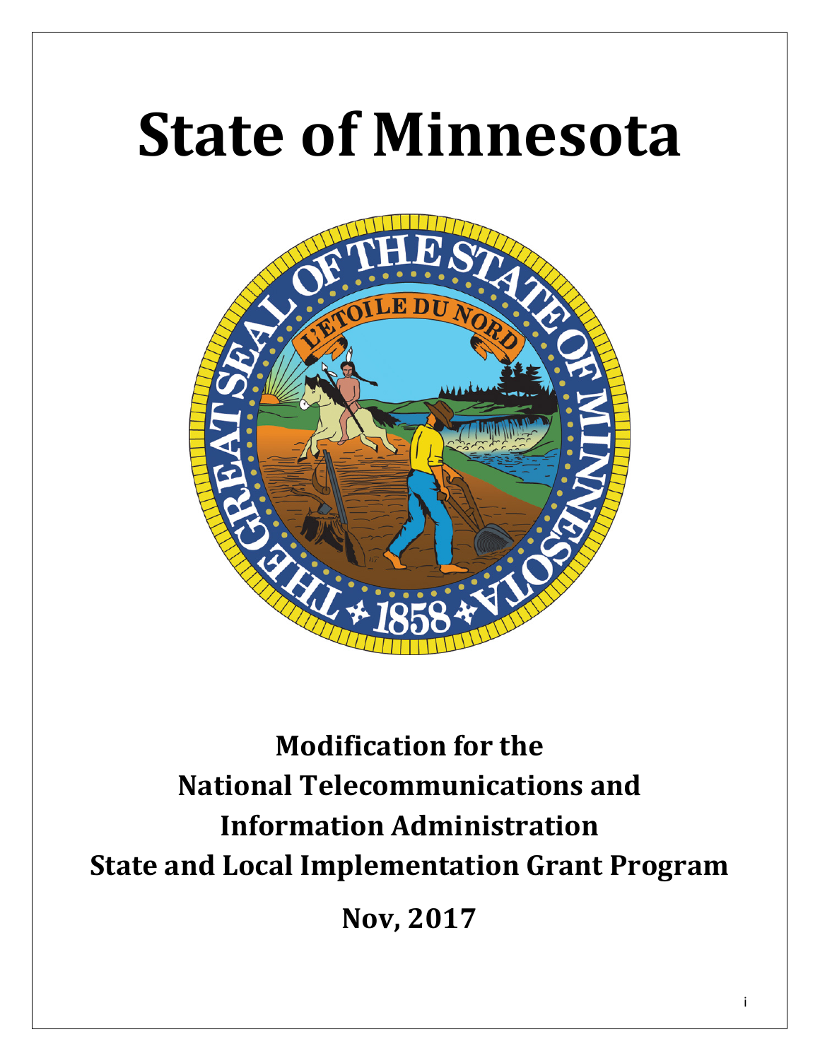# **State of Minnesota**



# **Modification for the National Telecommunications and Information Administration State and Local Implementation Grant Program**

**Nov, 2017**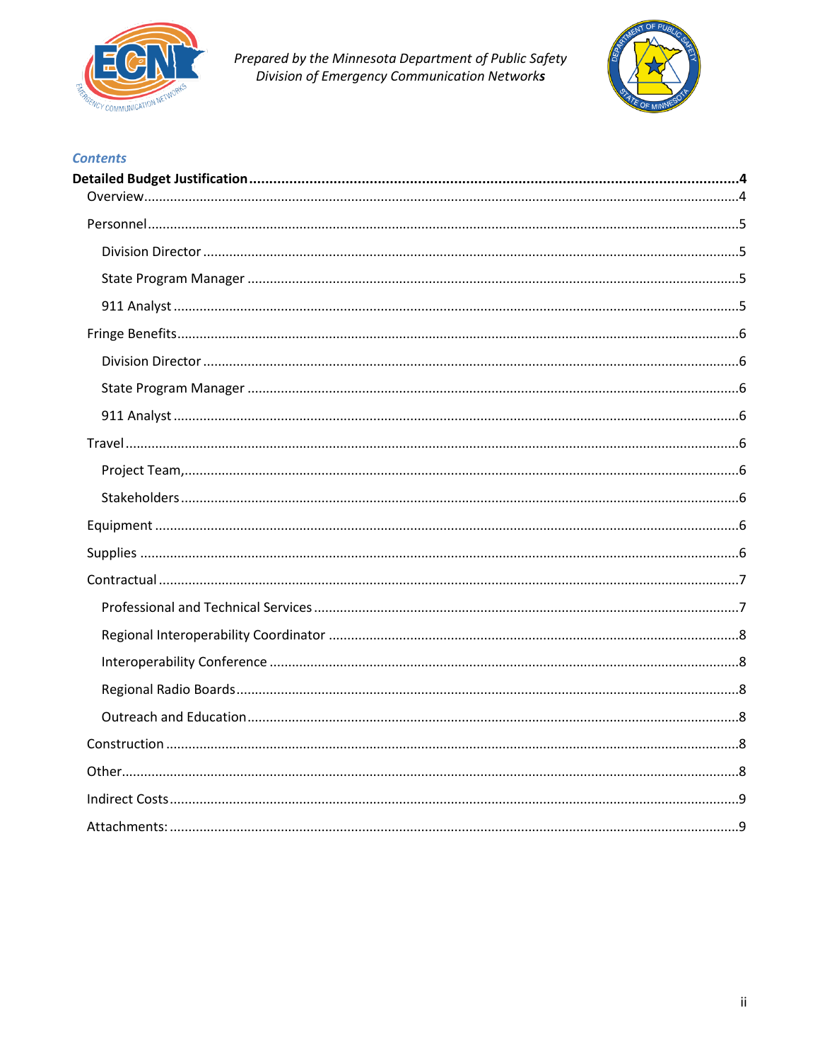

Prepared by the Minnesota Department of Public Safety<br>Division of Emergency Communication Networks



#### **Contents**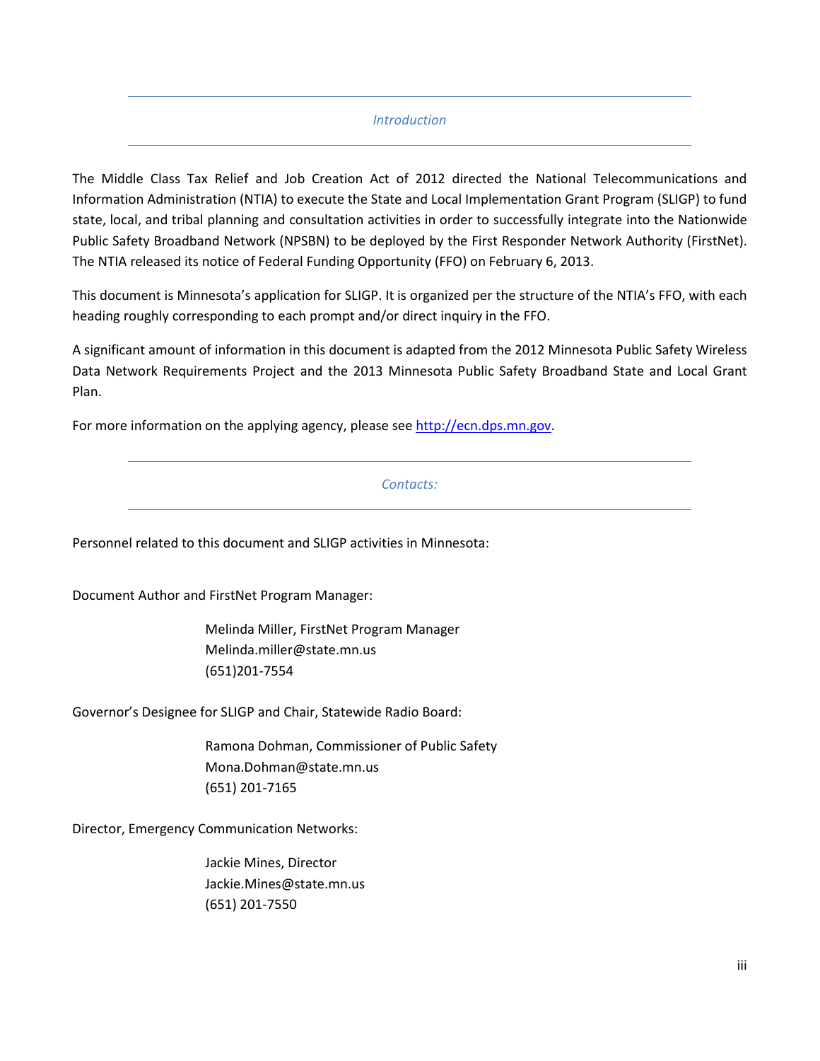#### *Introduction*

The Middle Class Tax Relief and Job Creation Act of 2012 directed the National Telecommunications and Information Administration (NTIA) to execute the State and Local Implementation Grant Program (SLIGP) to fund state, local, and tribal planning and consultation activities in order to successfully integrate into the Nationwide Public Safety Broadband Network (NPSBN) to be deployed by the First Responder Network Authority (FirstNet). The NTIA released its notice of Federal Funding Opportunity (FFO) on February 6, 2013.

This document is Minnesota's application for SLIGP. It is organized per the structure of the NTIA's FFO, with each heading roughly corresponding to each prompt and/or direct inquiry in the FFO.

A significant amount of information in this document is adapted from the 2012 Minnesota Public Safety Wireless Data Network Requirements Project and the 2013 Minnesota Public Safety Broadband State and Local Grant Plan.

For more information on the applying agency, please se[e http://ecn.dps.mn.gov.](http://ecn.dps.mn.gov/)

#### *Contacts:*

Personnel related to this document and SLIGP activities in Minnesota:

Document Author and FirstNet Program Manager:

Melinda Miller, FirstNet Program Manager [Melinda.miller@state.mn.us](mailto:Melinda.miller@state.mn.us) (651)201-7554

Governor's Designee for SLIGP and Chair, Statewide Radio Board:

Ramona Dohman, Commissioner of Public Safety [Mona.Dohman@state.mn.us](mailto:Mona.Dohman@state.mn.us) (651) 201-7165

Director, Emergency Communication Networks:

Jackie Mines, Director [Jackie.Mines@state.mn.us](mailto:Jackie.Mines@state.mn.us) (651) 201-7550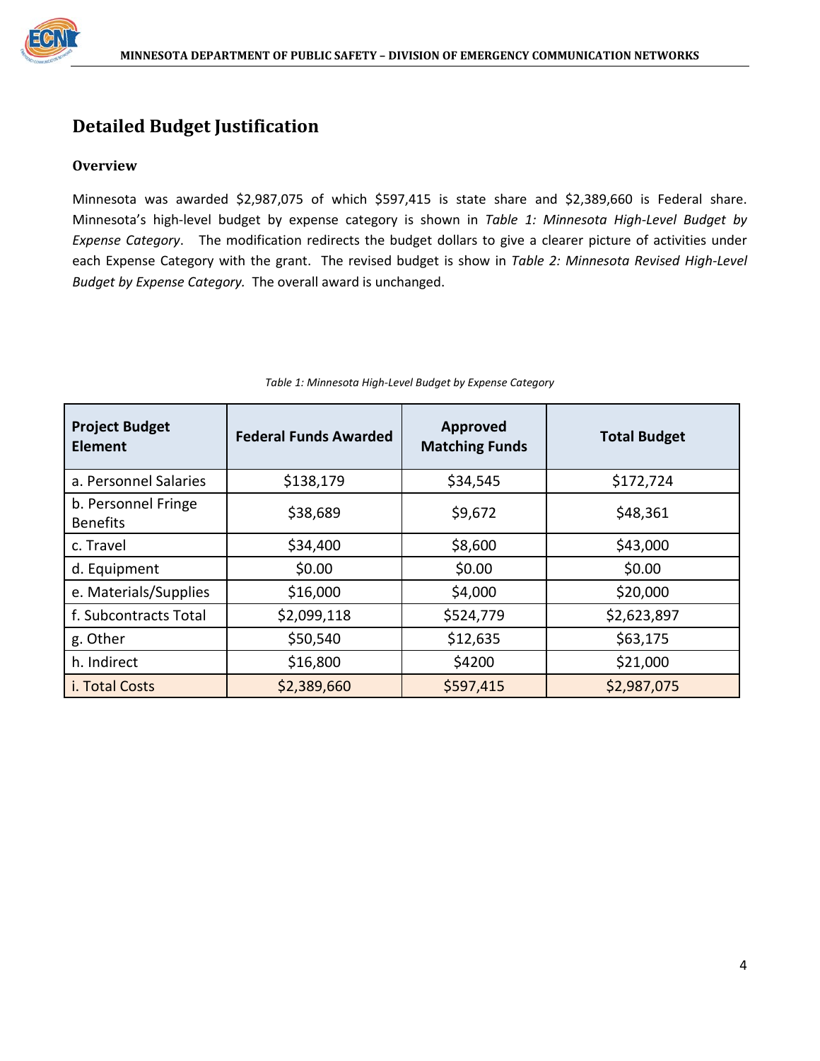

### <span id="page-8-0"></span>**Detailed Budget Justification**

#### <span id="page-8-1"></span>**Overview**

Minnesota was awarded \$2,987,075 of which \$597,415 is state share and \$2,389,660 is Federal share. Minnesota's high-level budget by expense category is shown in *[Table 1: Minnesota High-Level Budget by](#page-8-2)  [Expense Category](#page-8-2)*. The modification redirects the budget dollars to give a clearer picture of activities under each Expense Category with the grant. The revised budget is show in *Table 2: Minnesota Revised High-Level Budget by Expense Category.* The overall award is unchanged.

<span id="page-8-2"></span>

| <b>Project Budget</b><br><b>Element</b> | <b>Federal Funds Awarded</b> | Approved<br><b>Matching Funds</b> | <b>Total Budget</b> |  |  |  |
|-----------------------------------------|------------------------------|-----------------------------------|---------------------|--|--|--|
| a. Personnel Salaries                   | \$138,179                    | \$34,545                          | \$172,724           |  |  |  |
| b. Personnel Fringe<br><b>Benefits</b>  | \$38,689                     | \$9,672                           | \$48,361            |  |  |  |
| c. Travel                               | \$34,400                     | \$8,600                           | \$43,000            |  |  |  |
| d. Equipment                            | \$0.00                       | \$0.00                            | \$0.00              |  |  |  |
| e. Materials/Supplies                   | \$16,000                     | \$4,000                           | \$20,000            |  |  |  |
| f. Subcontracts Total                   | \$2,099,118                  | \$524,779                         | \$2,623,897         |  |  |  |
| g. Other                                | \$50,540                     | \$12,635                          | \$63,175            |  |  |  |
| h. Indirect                             | \$16,800                     | \$4200                            | \$21,000            |  |  |  |
| i. Total Costs                          | \$2,389,660                  | \$597,415                         | \$2,987,075         |  |  |  |

|  | Table 1: Minnesota High-Level Budget by Expense Category |
|--|----------------------------------------------------------|
|--|----------------------------------------------------------|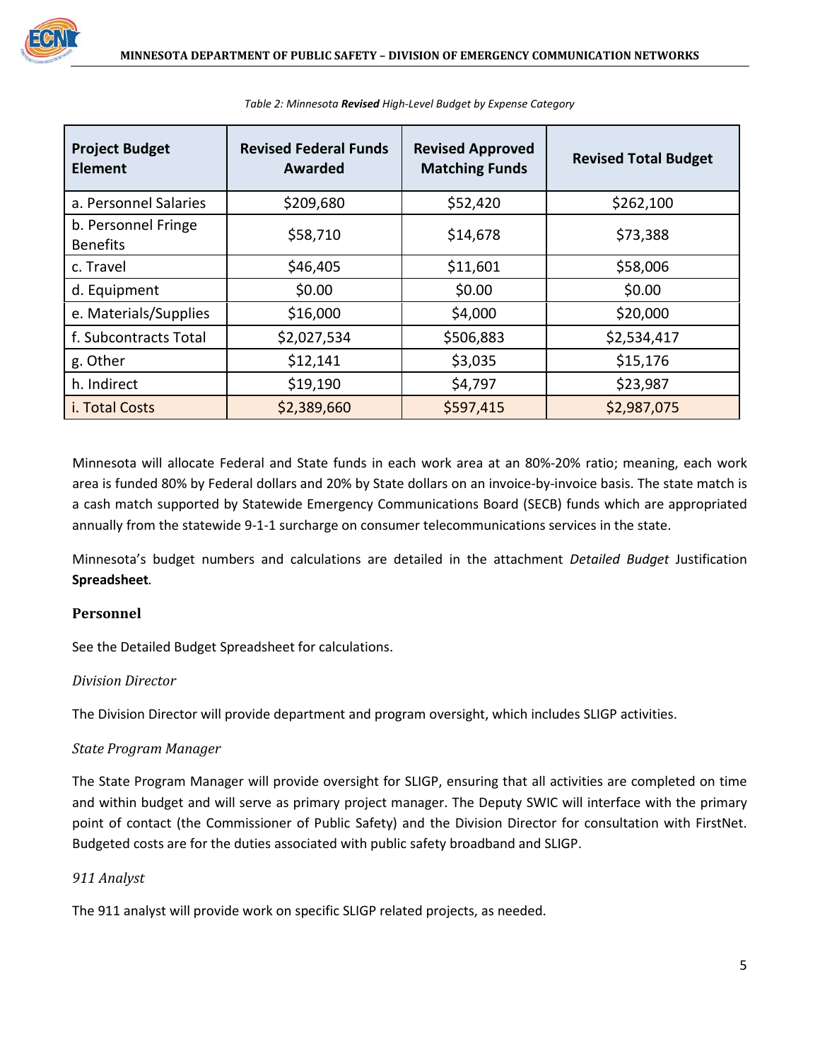

| <b>Project Budget</b><br><b>Element</b> | <b>Revised Federal Funds</b><br>Awarded | <b>Revised Approved</b><br><b>Matching Funds</b> | <b>Revised Total Budget</b> |
|-----------------------------------------|-----------------------------------------|--------------------------------------------------|-----------------------------|
| a. Personnel Salaries                   | \$209,680                               | \$52,420                                         | \$262,100                   |
| b. Personnel Fringe<br><b>Benefits</b>  | \$58,710                                | \$14,678                                         | \$73,388                    |
| c. Travel                               | \$46,405                                | \$11,601                                         | \$58,006                    |
| d. Equipment                            | \$0.00                                  | \$0.00                                           | \$0.00                      |
| e. Materials/Supplies                   | \$16,000                                | \$4,000                                          | \$20,000                    |
| f. Subcontracts Total                   | \$2,027,534                             | \$506,883                                        | \$2,534,417                 |
| g. Other                                | \$12,141                                | \$3,035                                          | \$15,176                    |
| h. Indirect                             | \$19,190                                | \$4,797                                          | \$23,987                    |
| i. Total Costs                          | \$2,389,660                             | \$597,415                                        | \$2,987,075                 |

*Table 2: Minnesota Revised High-Level Budget by Expense Category*

Minnesota will allocate Federal and State funds in each work area at an 80%-20% ratio; meaning, each work area is funded 80% by Federal dollars and 20% by State dollars on an invoice-by-invoice basis. The state match is a cash match supported by Statewide Emergency Communications Board (SECB) funds which are appropriated annually from the statewide 9-1-1 surcharge on consumer telecommunications services in the state.

Minnesota's budget numbers and calculations are detailed in the attachment *[Detailed Budget](#page-13-2)* Justification **[Spreadsheet](#page-13-2)***.*

#### <span id="page-9-0"></span>**Personnel**

See the Detailed Budget Spreadsheet for calculations.

#### <span id="page-9-1"></span>*Division Director*

The Division Director will provide department and program oversight, which includes SLIGP activities.

#### <span id="page-9-2"></span>*State Program Manager*

The State Program Manager will provide oversight for SLIGP, ensuring that all activities are completed on time and within budget and will serve as primary project manager. The Deputy SWIC will interface with the primary point of contact (the Commissioner of Public Safety) and the Division Director for consultation with FirstNet. Budgeted costs are for the duties associated with public safety broadband and SLIGP.

#### <span id="page-9-3"></span>*911 Analyst*

The 911 analyst will provide work on specific SLIGP related projects, as needed.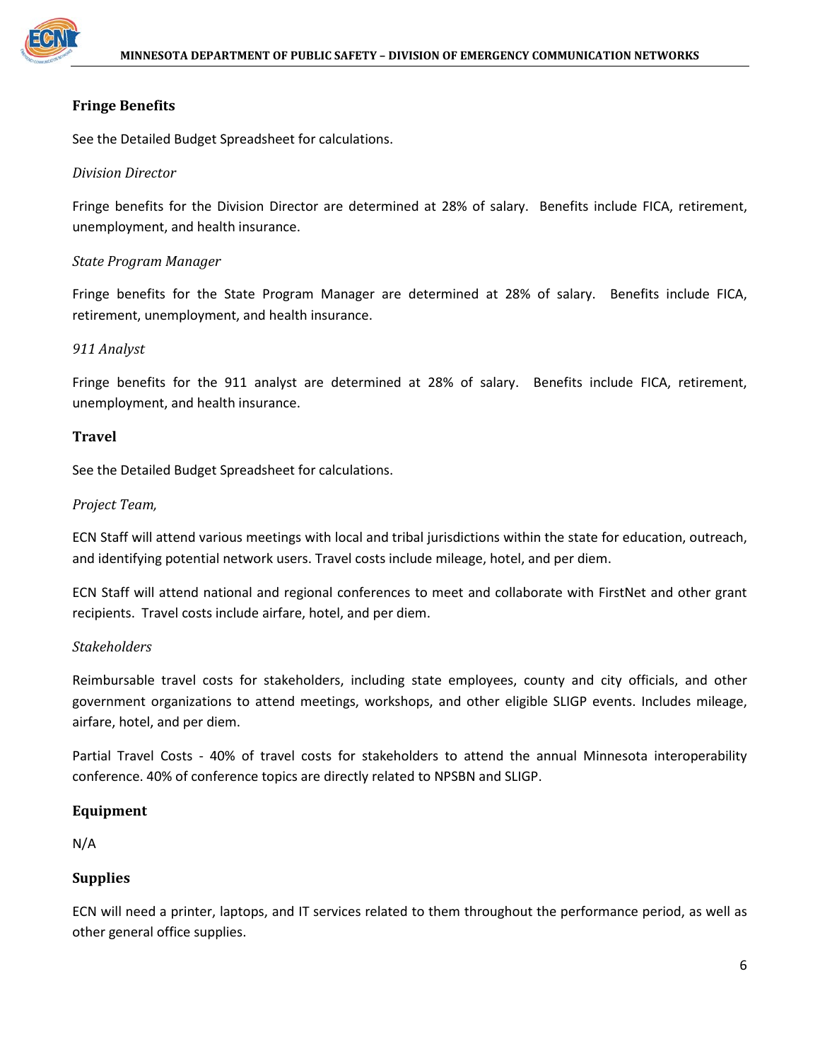

#### <span id="page-10-0"></span>**Fringe Benefits**

See the Detailed Budget Spreadsheet for calculations.

#### <span id="page-10-1"></span>*Division Director*

Fringe benefits for the Division Director are determined at 28% of salary. Benefits include FICA, retirement, unemployment, and health insurance.

#### <span id="page-10-2"></span>*State Program Manager*

Fringe benefits for the State Program Manager are determined at 28% of salary. Benefits include FICA, retirement, unemployment, and health insurance.

#### <span id="page-10-3"></span>*911 Analyst*

Fringe benefits for the 911 analyst are determined at 28% of salary. Benefits include FICA, retirement, unemployment, and health insurance.

#### <span id="page-10-4"></span>**Travel**

See the Detailed Budget Spreadsheet for calculations.

#### <span id="page-10-5"></span>*Project Team,*

ECN Staff will attend various meetings with local and tribal jurisdictions within the state for education, outreach, and identifying potential network users. Travel costs include mileage, hotel, and per diem.

ECN Staff will attend national and regional conferences to meet and collaborate with FirstNet and other grant recipients. Travel costs include airfare, hotel, and per diem.

#### <span id="page-10-6"></span>*Stakeholders*

Reimbursable travel costs for stakeholders, including state employees, county and city officials, and other government organizations to attend meetings, workshops, and other eligible SLIGP events. Includes mileage, airfare, hotel, and per diem.

Partial Travel Costs - 40% of travel costs for stakeholders to attend the annual Minnesota interoperability conference. 40% of conference topics are directly related to NPSBN and SLIGP.

#### <span id="page-10-7"></span>**Equipment**

N/A

#### <span id="page-10-8"></span>**Supplies**

ECN will need a printer, laptops, and IT services related to them throughout the performance period, as well as other general office supplies.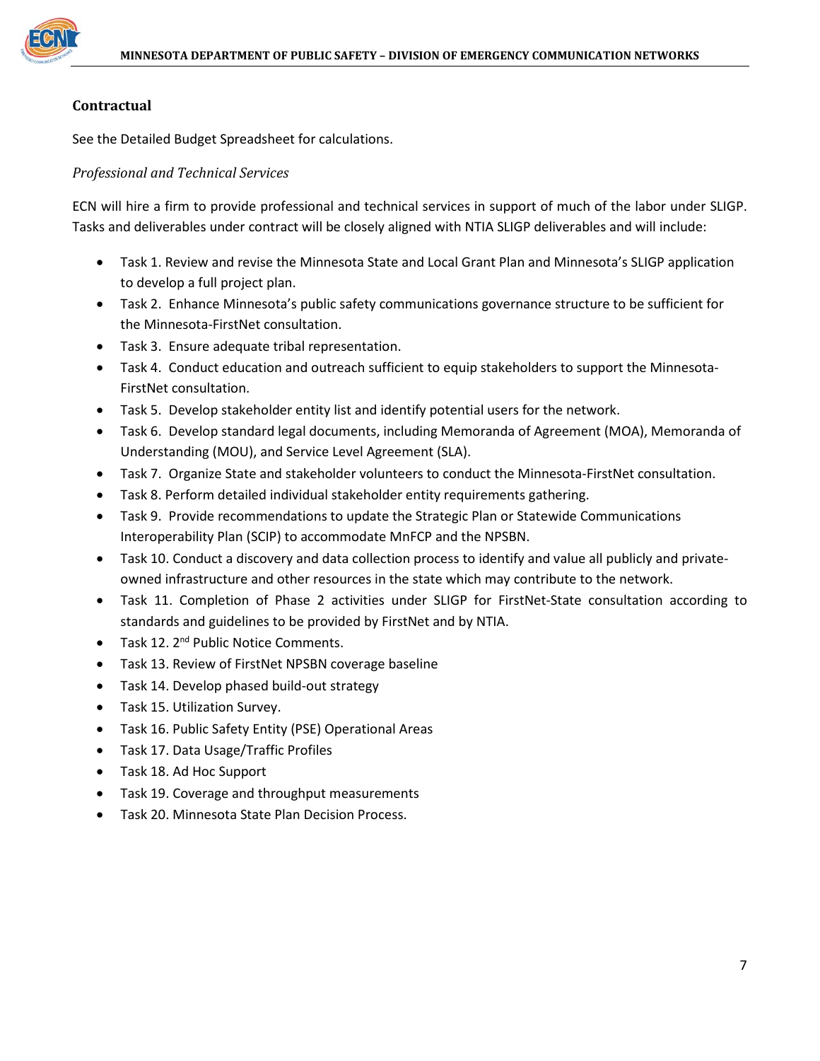

#### <span id="page-11-0"></span>**Contractual**

See the Detailed Budget Spreadsheet for calculations.

#### <span id="page-11-1"></span>*Professional and Technical Services*

ECN will hire a firm to provide professional and technical services in support of much of the labor under SLIGP. Tasks and deliverables under contract will be closely aligned with NTIA SLIGP deliverables and will include:

- Task 1. Review and revise the Minnesota State and Local Grant Plan and Minnesota's SLIGP application to develop a full project plan.
- Task 2. Enhance Minnesota's public safety communications governance structure to be sufficient for the Minnesota-FirstNet consultation.
- Task 3. Ensure adequate tribal representation.
- Task 4. Conduct education and outreach sufficient to equip stakeholders to support the Minnesota-FirstNet consultation.
- Task 5. Develop stakeholder entity list and identify potential users for the network.
- Task 6. Develop standard legal documents, including Memoranda of Agreement (MOA), Memoranda of Understanding (MOU), and Service Level Agreement (SLA).
- Task 7. Organize State and stakeholder volunteers to conduct the Minnesota-FirstNet consultation.
- Task 8. Perform detailed individual stakeholder entity requirements gathering.
- Task 9. Provide recommendations to update the Strategic Plan or Statewide Communications Interoperability Plan (SCIP) to accommodate MnFCP and the NPSBN.
- Task 10. Conduct a discovery and data collection process to identify and value all publicly and privateowned infrastructure and other resources in the state which may contribute to the network.
- Task 11. Completion of Phase 2 activities under SLIGP for FirstNet-State consultation according to standards and guidelines to be provided by FirstNet and by NTIA.
- Task 12. 2<sup>nd</sup> Public Notice Comments.
- Task 13. Review of FirstNet NPSBN coverage baseline
- Task 14. Develop phased build-out strategy
- Task 15. Utilization Survey.
- Task 16. Public Safety Entity (PSE) Operational Areas
- Task 17. Data Usage/Traffic Profiles
- Task 18. Ad Hoc Support
- Task 19. Coverage and throughput measurements
- Task 20. Minnesota State Plan Decision Process.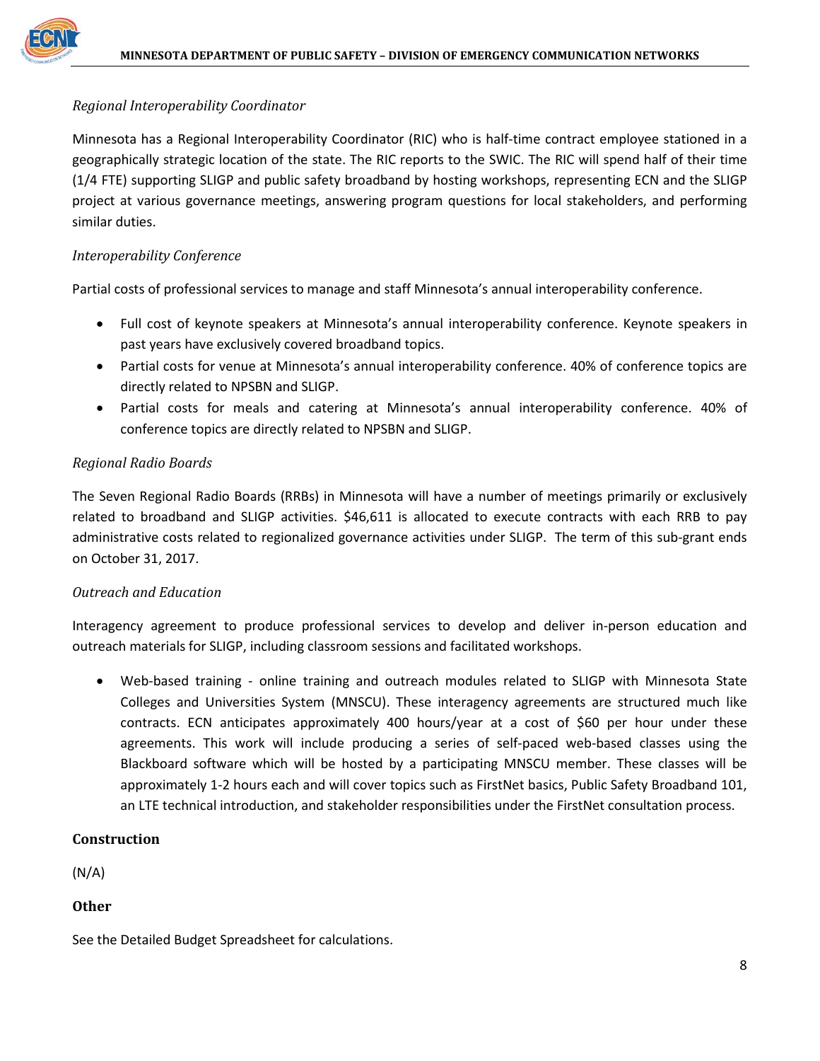#### <span id="page-12-0"></span>*Regional Interoperability Coordinator*

Minnesota has a Regional Interoperability Coordinator (RIC) who is half-time contract employee stationed in a geographically strategic location of the state. The RIC reports to the SWIC. The RIC will spend half of their time (1/4 FTE) supporting SLIGP and public safety broadband by hosting workshops, representing ECN and the SLIGP project at various governance meetings, answering program questions for local stakeholders, and performing similar duties.

#### <span id="page-12-1"></span>*Interoperability Conference*

Partial costs of professional services to manage and staff Minnesota's annual interoperability conference.

- Full cost of keynote speakers at Minnesota's annual interoperability conference. Keynote speakers in past years have exclusively covered broadband topics.
- Partial costs for venue at Minnesota's annual interoperability conference. 40% of conference topics are directly related to NPSBN and SLIGP.
- Partial costs for meals and catering at Minnesota's annual interoperability conference. 40% of conference topics are directly related to NPSBN and SLIGP.

#### <span id="page-12-2"></span>*Regional Radio Boards*

The Seven Regional Radio Boards (RRBs) in Minnesota will have a number of meetings primarily or exclusively related to broadband and SLIGP activities. \$46,611 is allocated to execute contracts with each RRB to pay administrative costs related to regionalized governance activities under SLIGP. The term of this sub-grant ends on October 31, 2017.

#### <span id="page-12-3"></span>*Outreach and Education*

Interagency agreement to produce professional services to develop and deliver in-person education and outreach materials for SLIGP, including classroom sessions and facilitated workshops.

• Web-based training - online training and outreach modules related to SLIGP with Minnesota State Colleges and Universities System (MNSCU). These interagency agreements are structured much like contracts. ECN anticipates approximately 400 hours/year at a cost of \$60 per hour under these agreements. This work will include producing a series of self-paced web-based classes using the Blackboard software which will be hosted by a participating MNSCU member. These classes will be approximately 1-2 hours each and will cover topics such as FirstNet basics, Public Safety Broadband 101, an LTE technical introduction, and stakeholder responsibilities under the FirstNet consultation process.

#### <span id="page-12-4"></span>**Construction**

(N/A)

<span id="page-12-5"></span>**Other**

See the Detailed Budget Spreadsheet for calculations.